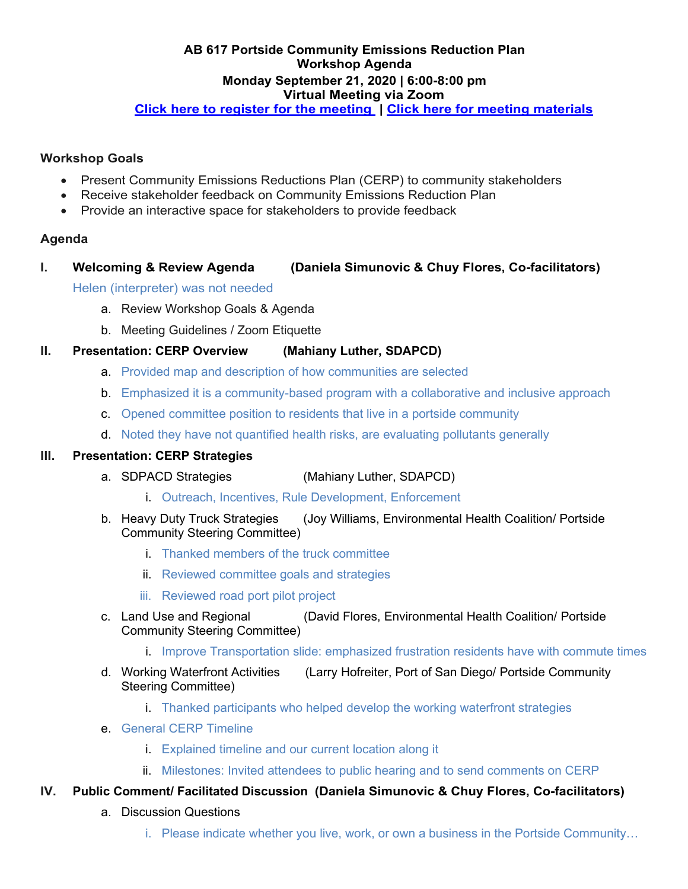# **AB 617 Portside Community Emissions Reduction Plan Workshop Agenda Monday September 21, 2020 | 6:00-8:00 pm Virtual Meeting via Zoom**

**[Click here to register for the meeting](https://us02web.zoom.us/webinar/register/WN_Wem-fOJYS9yEeraWguSZ1w) | [Click here for meeting materials](https://www.sandiegocounty.gov/content/sdc/apcd/en/community-air-protection-program--ab-617-/portside-cerp.html)**

## **Workshop Goals**

- Present Community Emissions Reductions Plan (CERP) to community stakeholders
- Receive stakeholder feedback on Community Emissions Reduction Plan
- Provide an interactive space for stakeholders to provide feedback

# **Agenda**

# **I. Welcoming & Review Agenda (Daniela Simunovic & Chuy Flores, Co-facilitators)** Helen (interpreter) was not needed

- a. Review Workshop Goals & Agenda
- b. Meeting Guidelines / Zoom Etiquette

# **II. Presentation: CERP Overview (Mahiany Luther, SDAPCD)**

- a. Provided map and description of how communities are selected
- b. Emphasized it is a community-based program with a collaborative and inclusive approach
- c. Opened committee position to residents that live in a portside community
- d. Noted they have not quantified health risks, are evaluating pollutants generally

# **III. Presentation: CERP Strategies**

- a. SDPACD Strategies (Mahiany Luther, SDAPCD)
	- i. Outreach, Incentives, Rule Development, Enforcement
- b. Heavy Duty Truck Strategies (Joy Williams, Environmental Health Coalition/ Portside Community Steering Committee)
	- i. Thanked members of the truck committee
	- ii. Reviewed committee goals and strategies
	- iii. Reviewed road port pilot project
- c. Land Use and Regional (David Flores, Environmental Health Coalition/ Portside Community Steering Committee)
	- i. Improve Transportation slide: emphasized frustration residents have with commute times
- d. Working Waterfront Activities (Larry Hofreiter, Port of San Diego/ Portside Community Steering Committee)
	- i. Thanked participants who helped develop the working waterfront strategies
- e. General CERP Timeline
	- i. Explained timeline and our current location along it
	- ii. Milestones: Invited attendees to public hearing and to send comments on CERP
- **IV. Public Comment/ Facilitated Discussion (Daniela Simunovic & Chuy Flores, Co-facilitators)**
	- a. Discussion Questions
		- i. Please indicate whether you live, work, or own a business in the Portside Community…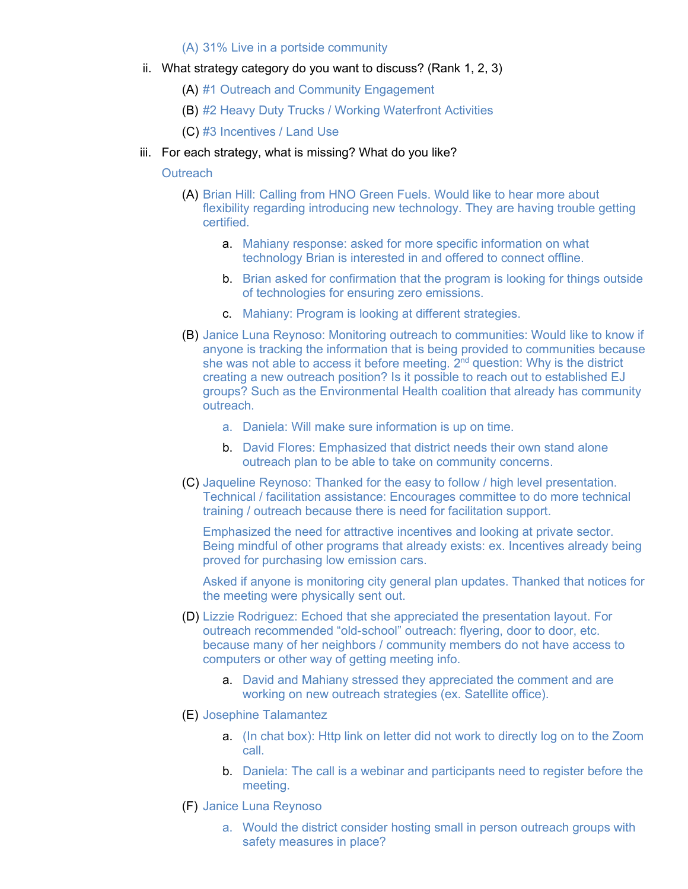(A) 31% Live in a portside community

- ii. What strategy category do you want to discuss? (Rank 1, 2, 3)
	- (A) #1 Outreach and Community Engagement
	- (B) #2 Heavy Duty Trucks / Working Waterfront Activities
	- (C) #3 Incentives / Land Use
- iii. For each strategy, what is missing? What do you like?

**Outreach** 

- (A) Brian Hill: Calling from HNO Green Fuels. Would like to hear more about flexibility regarding introducing new technology. They are having trouble getting certified.
	- a. Mahiany response: asked for more specific information on what technology Brian is interested in and offered to connect offline.
	- b. Brian asked for confirmation that the program is looking for things outside of technologies for ensuring zero emissions.
	- c. Mahiany: Program is looking at different strategies.
- (B) Janice Luna Reynoso: Monitoring outreach to communities: Would like to know if anyone is tracking the information that is being provided to communities because she was not able to access it before meeting.  $2<sup>nd</sup>$  question: Why is the district creating a new outreach position? Is it possible to reach out to established EJ groups? Such as the Environmental Health coalition that already has community outreach.
	- a. Daniela: Will make sure information is up on time.
	- b. David Flores: Emphasized that district needs their own stand alone outreach plan to be able to take on community concerns.
- (C) Jaqueline Reynoso: Thanked for the easy to follow / high level presentation. Technical / facilitation assistance: Encourages committee to do more technical training / outreach because there is need for facilitation support.

Emphasized the need for attractive incentives and looking at private sector. Being mindful of other programs that already exists: ex. Incentives already being proved for purchasing low emission cars.

Asked if anyone is monitoring city general plan updates. Thanked that notices for the meeting were physically sent out.

- (D) Lizzie Rodriguez: Echoed that she appreciated the presentation layout. For outreach recommended "old-school" outreach: flyering, door to door, etc. because many of her neighbors / community members do not have access to computers or other way of getting meeting info.
	- a. David and Mahiany stressed they appreciated the comment and are working on new outreach strategies (ex. Satellite office).
- (E) Josephine Talamantez
	- a. (In chat box): Http link on letter did not work to directly log on to the Zoom call.
	- b. Daniela: The call is a webinar and participants need to register before the meeting.
- (F) Janice Luna Reynoso
	- a. Would the district consider hosting small in person outreach groups with safety measures in place?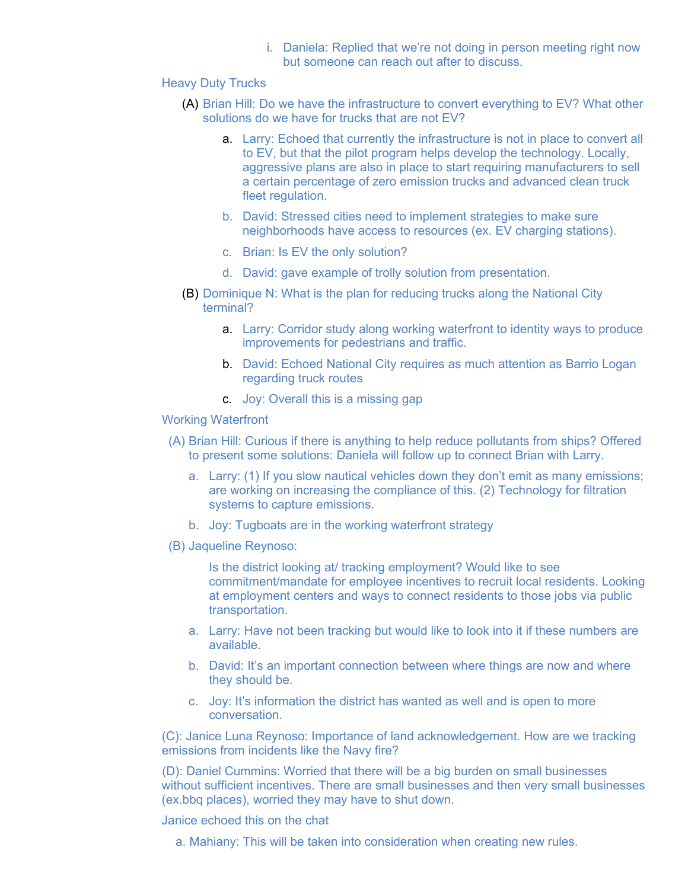i. Daniela: Replied that we're not doing in person meeting right now but someone can reach out after to discuss.

#### Heavy Duty Trucks

- (A) Brian Hill: Do we have the infrastructure to convert everything to EV? What other solutions do we have for trucks that are not EV?
	- a. Larry: Echoed that currently the infrastructure is not in place to convert all to EV, but that the pilot program helps develop the technology. Locally, aggressive plans are also in place to start requiring manufacturers to sell a certain percentage of zero emission trucks and advanced clean truck fleet regulation.
	- b. David: Stressed cities need to implement strategies to make sure neighborhoods have access to resources (ex. EV charging stations).
	- c. Brian: Is EV the only solution?
	- d. David: gave example of trolly solution from presentation.
- (B) Dominique N: What is the plan for reducing trucks along the National City terminal?
	- a. Larry: Corridor study along working waterfront to identity ways to produce improvements for pedestrians and traffic.
	- b. David: Echoed National City requires as much attention as Barrio Logan regarding truck routes
	- c. Joy: Overall this is a missing gap

#### Working Waterfront

- (A) Brian Hill: Curious if there is anything to help reduce pollutants from ships? Offered to present some solutions: Daniela will follow up to connect Brian with Larry.
	- a. Larry: (1) If you slow nautical vehicles down they don't emit as many emissions; are working on increasing the compliance of this. (2) Technology for filtration systems to capture emissions.
	- b. Joy: Tugboats are in the working waterfront strategy
- (B) Jaqueline Reynoso:

Is the district looking at/ tracking employment? Would like to see commitment/mandate for employee incentives to recruit local residents. Looking at employment centers and ways to connect residents to those jobs via public transportation.

- a. Larry: Have not been tracking but would like to look into it if these numbers are available.
- b. David: It's an important connection between where things are now and where they should be.
- c. Joy: It's information the district has wanted as well and is open to more conversation.

(C): Janice Luna Reynoso: Importance of land acknowledgement. How are we tracking emissions from incidents like the Navy fire?

 (D): Daniel Cummins: Worried that there will be a big burden on small businesses without sufficient incentives. There are small businesses and then very small businesses (ex.bbq places), worried they may have to shut down.

Janice echoed this on the chat

a. Mahiany: This will be taken into consideration when creating new rules.